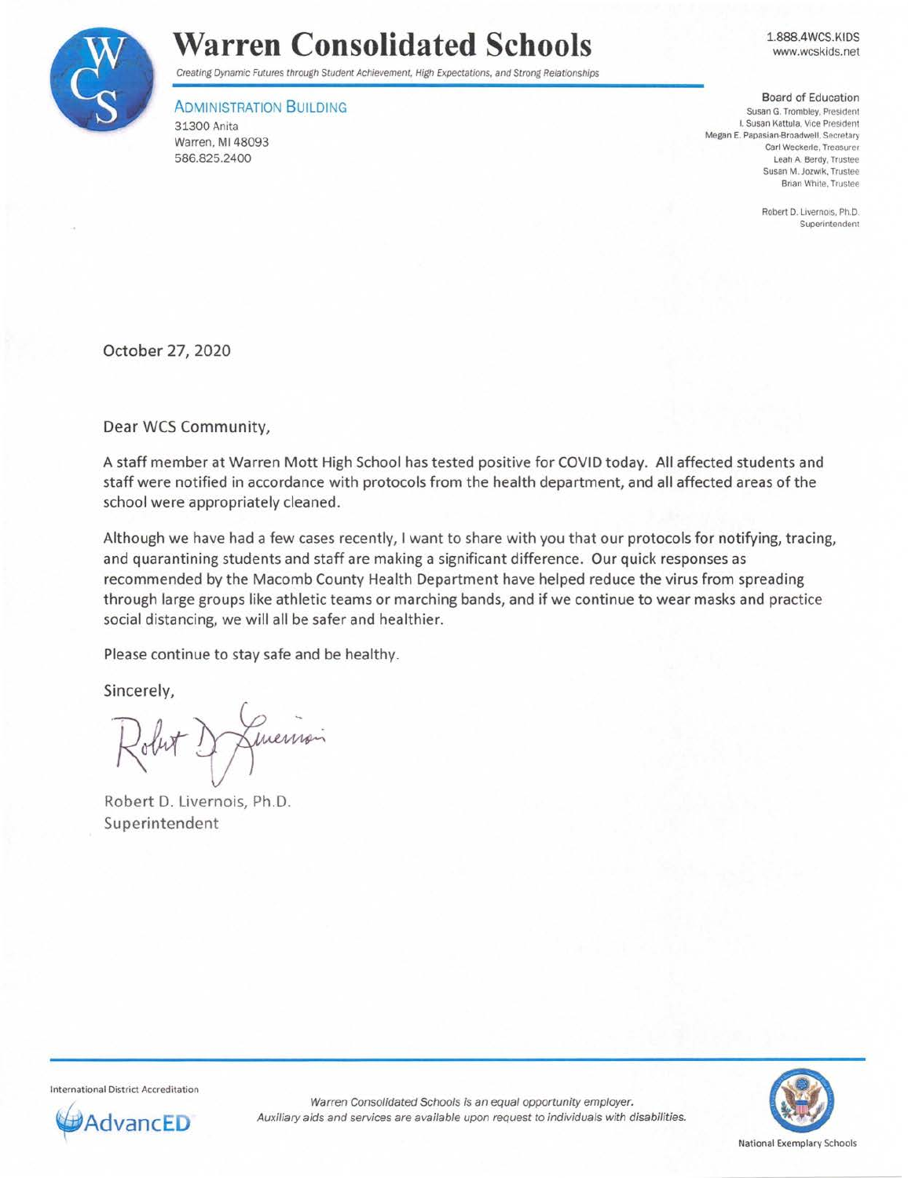

## **Warren Consolidated Schools**

Creating Dynamic Futures through Student Achievement, High Expectations, and Strong Relationships

## **ADMINISTRATION BUILDING**

31300 Anita Warren, Ml 48093 586.825.2400

1.888.4WCS.KIDS www.wcskids.net

Board of Education **Susan G. Trombley, President I. Susan Kattula, Vice President**  Megan E. Papasian-Broadwell. Secretary **Carl Weckerle. Treasurer**  Leah A. Berdy, Trustee **Susan M. Jozwik. Trustee**  Brian White. Trustee

> Robert D. Livernois. Ph.D. **Superintendent**

October 27, 2020

Dear WCS Community,

A staff member at Warren Mott High School has tested positive for COVID today. All affected students and staff were notified in accordance with protocols from the health department, and all affected areas of the school were appropriately cleaned.

Although we have had a few cases recently, I want to share with you that our protocols for notifying, tracing, and quarantining students and staff are making a significant difference. Our quick responses as recommended by the Macomb County Health Department have helped reduce the virus from spreading through large groups like athletic teams or marching bands, and if we continue to wear masks and practice social distancing, we will all be safer and healthier.

Please continue to stay safe and be healthy.

Sincerely,

Jumension

Robert D. Livernois, Ph.D. Superintendent